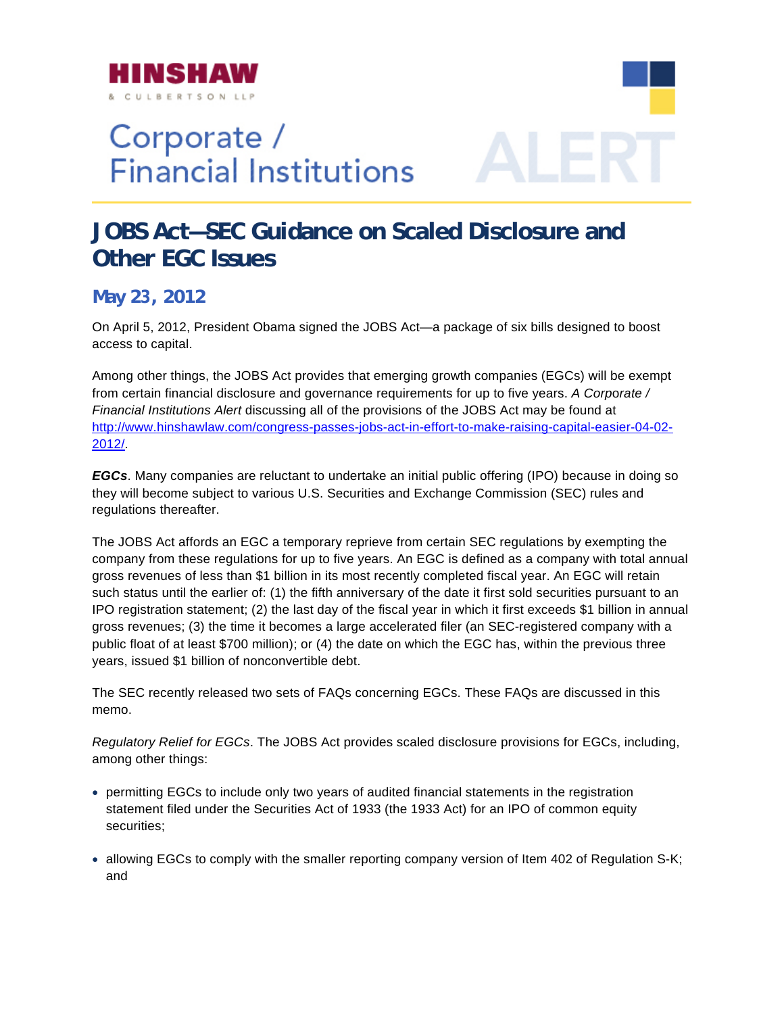

## Corporate / **Financial Institutions**

## **JOBS Act—SEC Guidance on Scaled Disclosure and Other EGC Issues**

## **May 23, 2012**

On April 5, 2012, President Obama signed the JOBS Act—a package of six bills designed to boost access to capital.

Among other things, the JOBS Act provides that emerging growth companies (EGCs) will be exempt from certain financial disclosure and governance requirements for up to five years. *A Corp*o*rate* / http://ww[w.hinshawlaw.com/congress-passes-jobs-act-in-effort-to-make-raising-capital-easier-04-02-](http://www.hinshawlaw.com/congress-passes-jobs-act-in-effort-to-make-raising-capital-easier-04-02-2012/) *Financial Institutions Alert* discussing all of the provisions of the JOBS Act may be found at 2012/.

**EGCs**. Many companies are reluctant to undertake an initial public offering (IPO) because in doing so they will become subject to various U.S. Securities and Exchange Commission (SEC) rules and regulations thereafter.

company from these regulations for up to five years. An EGC is defined as a company with total annual IPO registration statement; (2) the last day of the fiscal year in which it first exceeds \$1 billion in annual gross revenues; (3) the time it becomes a large accelerated filer (an SEC-registered company with a The JOBS Act affords an EGC a temporary reprieve from certain SEC regulations by exempting the gross revenues of less than \$1 billion in its most recently completed fiscal year. An EGC will retain such status until the earlier of: (1) the fifth anniversary of the date it first sold securities pursuant to an public float of at least \$700 million); or (4) the date on which the EGC has, within the previous three years, issued \$1 billion of nonconvertible debt.

The SEC recently released two sets of FAQs concerning EGCs. These FAQs are discussed in this memo.

Regulatory Relief for EGCs. The JOBS Act provides scaled disclosure provisions for EGCs, including, among other things:

- statement filed under the Securities Act of 1933 (the 1933 Act) for an IPO of common equity • permitting EGCs to include only two years of audited financial statements in the registration securities;
- allowing EGCs to comply with the smaller reporting company version of Item 402 of Regulation S-K; and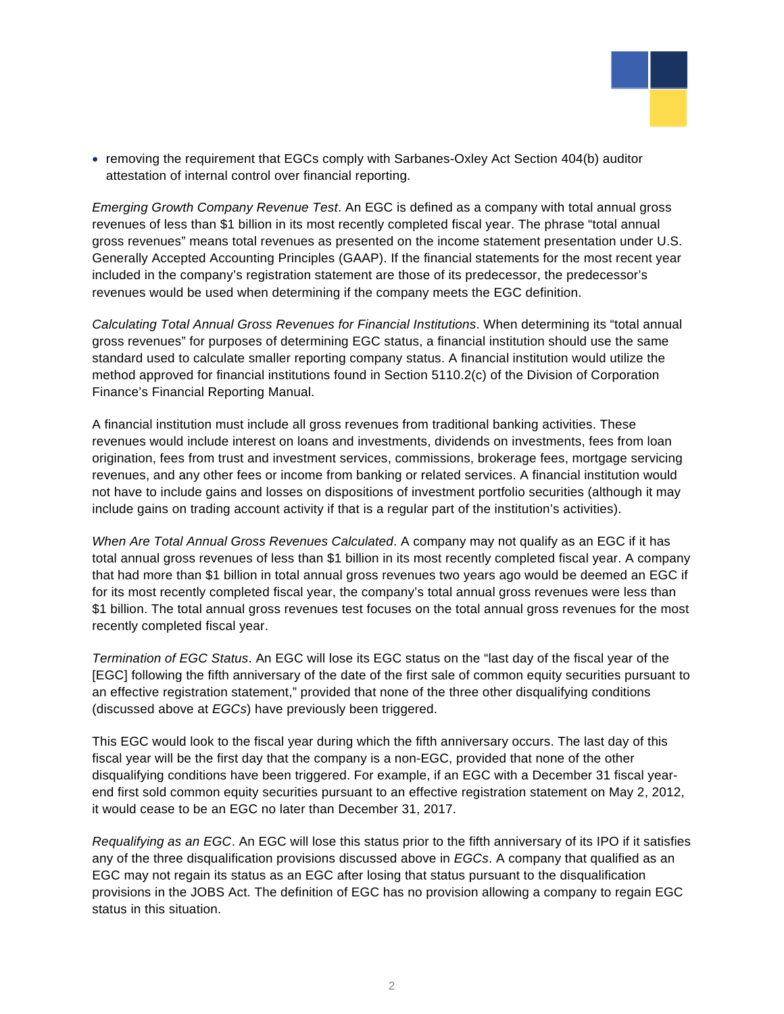

• removing the requirement that EGCs comply with Sarbanes-Oxley Act Section 404(b) auditor attestation of internal control over financial reporting.

*Emerging Growth Company Revenue Test*. An EGC is defined as a company with total annual gross revenues of less than \$1 billion in its most recently completed fiscal year. The phrase "total annual gross revenues" means total revenues as presented on the income statement presentation under U.S . Generally Accepted Accounting Principles (GAAP). If the financial statements for the most recent yea r included in the company's registration statement are those of its predecessor, the predecessor's revenues would be used when determin ing if the company meets the EGC definition.

Calculating Total Annual Gross Revenues for Financial Institutions. When determining its "total annual gross revenues" for purposes of determining EGC status, a financial institution should use the same standard used to calculate smaller reporting company status. A financial institution would utilize the method approved for financial institutions found in Section 5110.2(c) of the Division of Corporation Finance's Financial Reporting Manual.

include gains on trading account activity if that is a regular part of the institution's activities). A financial institution must include all gross revenues from traditional banking activities. These revenues would include interest on loans and investments, dividends on investments, fees from loan origination, fees from trust and investment services, commissions, brokerage fees, mortgage servicing revenues, and any other fees or income from banking or related services. A financial institution would not have to include gains and losses on dispositions of investment portfolio securities (although it may

total annual gross revenues of less than \$1 billion in its most recently completed fiscal year. A company that had more than \$1 billion in total annual gross revenues two years ago would be deemed an EGC if \$1 billion. The total annual gross revenues test focuses on the total annual gross revenues for the most *When Are Total Annual Gross Revenues Calculated*. A company may not qualify as an EGC if it has for its most recently completed fiscal year, the company's total annual gross revenues were less than recently completed fiscal year.

[EGC] following the fifth anniversary of the date of the first sale of common equity securities pursuant to *Termination of EGC Status*. An EGC will lose its EGC status on the "last day of the fiscal year of the an effective registration statement," provided that none of the three other disqualifying conditions (discussed above at *EGCs*) have previously been triggered.

fiscal year will be the first day that the company is a non-EGC, provided that none of the other disqualifying conditions have been triggered. For example, if an EGC with a December 31 fiscal yearend first sold common equity securities pursuant to an effective registration statement on May 2, 2012, This EGC would look to the fiscal year during which the fifth anniversary occurs. The last day of this it would cease to be an EGC no later than December 31, 2017.

provisions in the JOBS Act. The definition of EGC has no provision allowing a company to regain EGC status in this situation. *Requalifying as an EGC*. An EGC will lose this status prior to the fifth anniversary of its IPO if it satisfies any of the three disqualification provisions discussed above in *EGCs*. A company that qualified as an EGC may not regain its status as an EGC after losing that status pursuant to the disqualification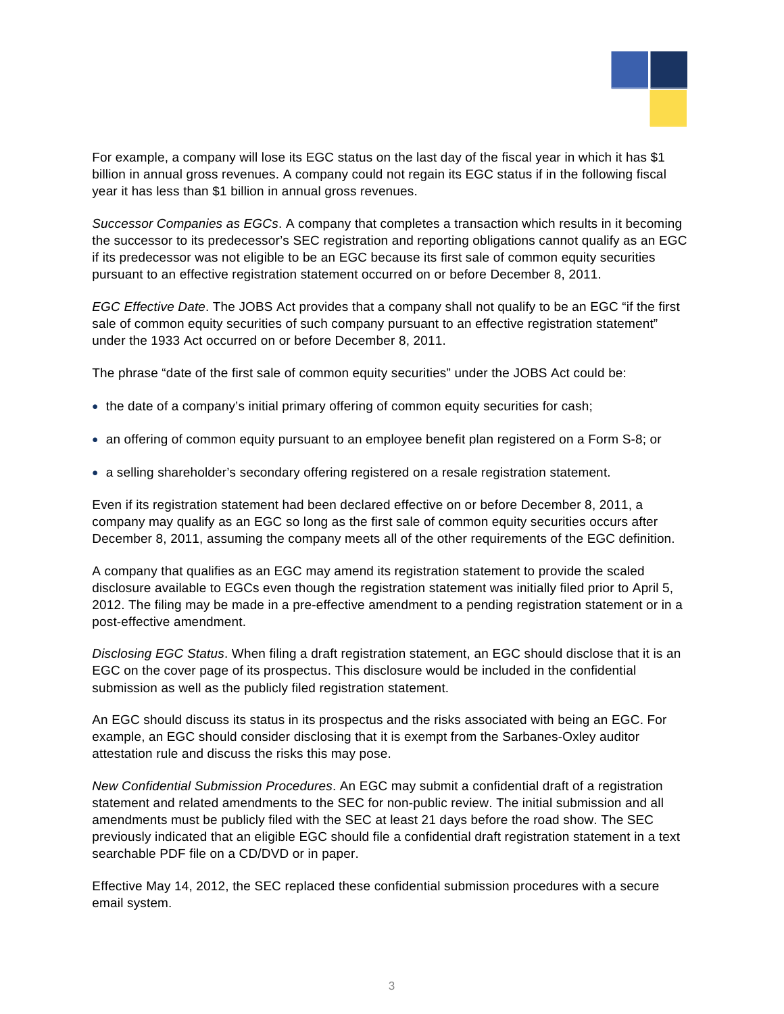

For example, a company will lose its EGC status on the last day of the fiscal year in which it has \$1 billion in annual gross revenues. A company could not regain its EGC status if in the following fisca l year it has less than \$1 billion in annual gross revenues.

*Successor Companies as EGCs*. A company that completes a transaction which results in it becoming the successor to its predecessor's SEC registration and reporting obligations cannot qualify as an EGC if its predecessor was not eligible to be an EGC because its first sale of common equity securities pursuant to an effective registration statement occurred on or before December 8, 2011.

*EGC Effective Date*. The JOBS Act provides that a company shall not qualify to be an EGC "if the first sale of common equity securities of such company pursuant to an effective registration statement" under the 1933 Act occurred on or before December 8, 2011.

The phrase "date of the first sale of common equity securities" under the JOBS Act could be:

- the date of a company's initial primary offering of common equity securities for cash;
- an offering of common equity pursuant to an employee benefit plan registered on a Form S-8; or
- a selling shareholder's secondary offering registered on a resale registration statement.

company may qualify as an EGC so long as the first sale of common equity securities occurs after December 8, 2011, assuming the company meets all of the other requirements of the EGC definition. Even if its registration statement had been declared effective on or before December 8, 2011, a

disclosure available to EGCs even though the registration statement was initially filed prior to April 5, 2012. The filing may be made in a pre-effective amendment to a pending registration statement or in a A company that qualifies as an EGC may amend its registration statement to provide the scaled post-effective amendment.

submission as well as the publicly filed registration statement. *Disclosing EGC Status*. When filing a draft registration statement, an EGC should disclose that it is an EGC on the cover page of its prospectus. This disclosure would be included in the confidential

An EGC should discuss its status in its prospectus and the risks associated with being an EGC. For example, an EGC should consider disclosing that it is exempt from the Sarbanes-Oxley auditor attestation rule and discuss the risks this may pose.

n *New Confidential Submission Procedures*. An EGC may submit a confidential draft of a registratio statement and related amendments to the SEC for non-public review. The initial submission and all previously indicated that an eligible EGC should file a confidential draft registration statement in a text amendments must be publicly filed with the SEC at least 21 days before the road show. The SEC searchable PDF file on a CD/DVD or in paper.

Effective May 14, 2012, the SEC replaced these confidential submission procedures with a secure email system.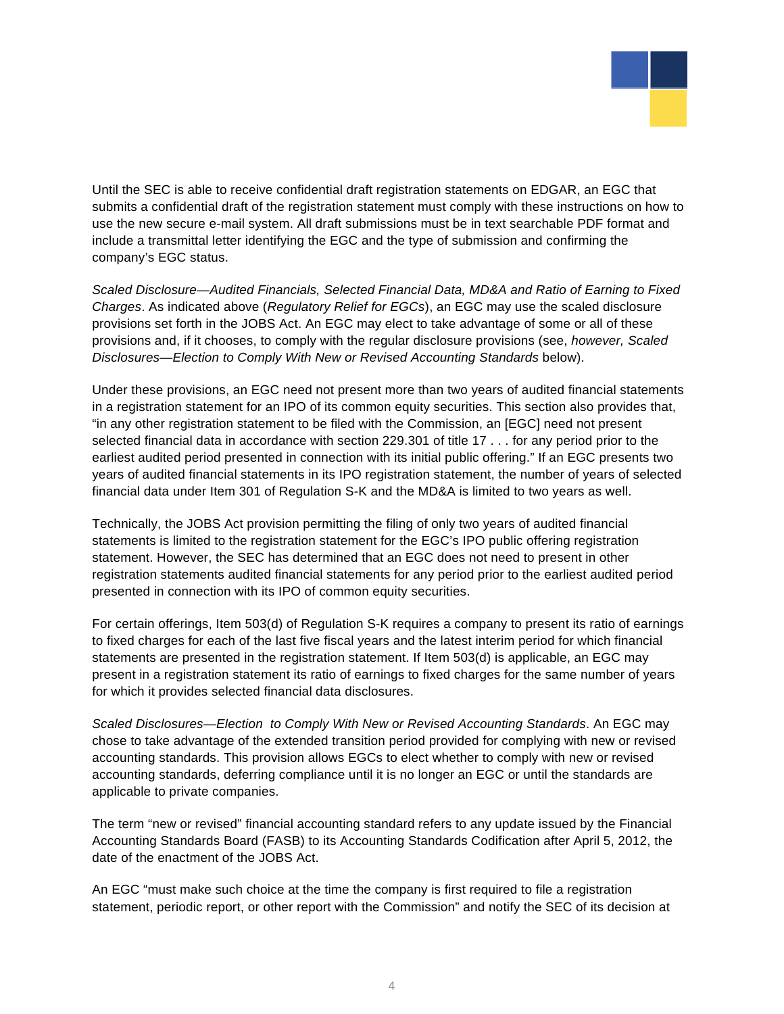

Until the SEC is able to receive confidential draft registration statements on EDGAR, an EGC tha t submits a confidential draft of the registration statement must comply with these instructions on how to use the new secure e-mail system. All draft submissions must be in text searchable PDF format and include a transmittal letter identifying the EGC and the type of submission and confirming the company's EGC status.

Scaled Disclosure—Audited Financials, Selected Financial Data, MD&A and Ratio of Earning to Fixed *Charges*. As indicated above (*Regulatory Relief for EGCs*), an EGC may use the scaled disclosure Disclosures—Election to Comply With New or Revised Accounting Standards below). provisions set forth in the JOBS Act. An EGC may elect to take advantage of some or all of these provisions and, if it chooses, to comply with the regular disclosure provisions (see, *however, Scaled* 

Under these provisions, an EGC need not present more than two years of audited financial statements in a registration statement for an IPO of its common equity securities. This section also provides that, selected financial data in accordance with section 229.301 of title 17 . . . for any period prior to the "in any other registration statement to be filed with the Commission, an [EGC] need not present earliest audited period presented in connection with its initial public offering." If an EGC presents two years of audited financial statements in its IPO registration statement, the number of years of selected financial data under Item 301 of Regulation S-K and the MD&A is limited to two years as well.

statements is limited to the registration statement for the EGC's IPO public offering registration presented in connection with its IPO of common equity securities. Technically, the JOBS Act provision permitting the filing of only two years of audited financial statement. However, the SEC has determined that an EGC does not need to present in other registration statements audited financial statements for any period prior to the earliest audited period

For certain offerings, Item 503(d) of Regulation S-K requires a company to present its ratio of earnings for which it provides selected financial data disclosures. to fixed charges for each of the last five fiscal years and the latest interim period for which financial statements are presented in the registration statement. If Item 503(d) is applicable, an EGC may present in a registration statement its ratio of earnings to fixed charges for the same number of years

*Scaled Disclosures—Election to Comply With New or Revised Accounting Standards*. An EGC may chose to take advantage of the extended transition period provided for complying with new or revised accounting standards. This provision allows EGCs to elect whether to comply with new or revised accounting standards, deferring compliance until it is no longer an EGC or until the standards are applicable to private companies.

The term "new or revised" financial accounting standard refers to any update issued by the Financial Accounting Standards Board (FASB) to its Accounting Standards Codification after April 5, 2012, the date of the enactment of the JOBS Act.

statement, periodic report, or other report with the Commission" and notify the SEC of its decision at An EGC "must make such choice at the time the company is first required to file a registration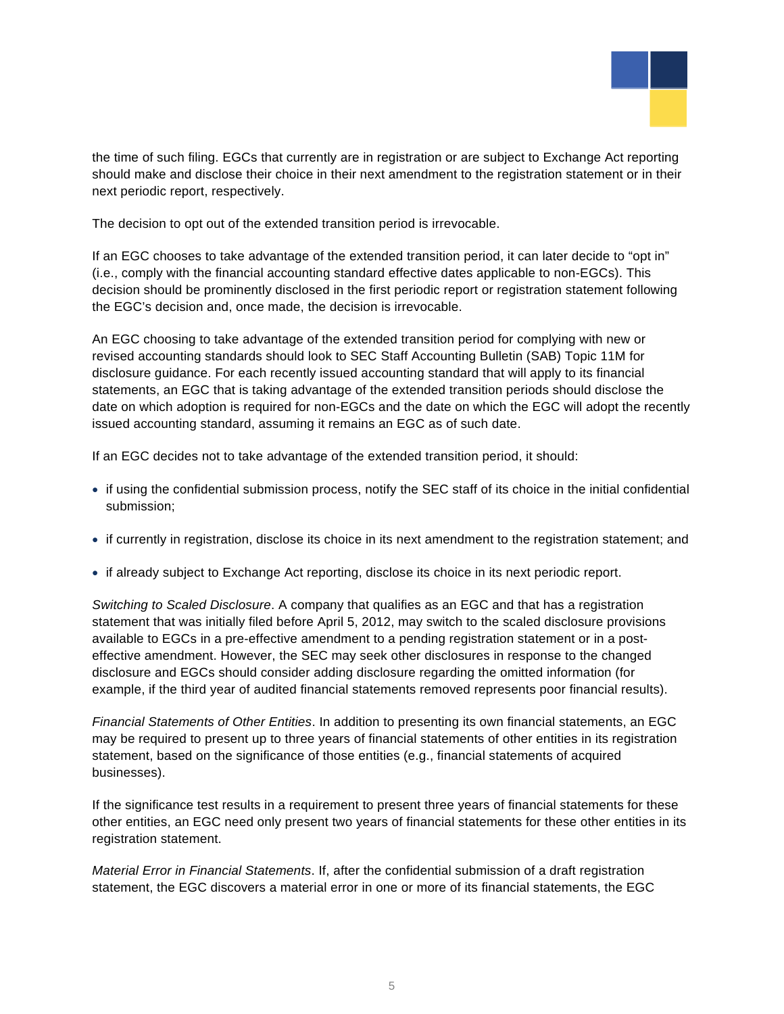

the time of such filing. EGCs that currently are in registration or are subject to Exchange Act reporting should make and disclose their choice in their next amendment to the registration statement or in their next periodic report, respectively.

The decision to opt out of the extended transition period is irrevocable.

If an EGC chooses to take advantage of the extended transition period, it can later decide to "opt in" (i.e., comply with the financial accounting standard effective dates applicable to non-EGCs). This decision should be prominently disclosed in the first periodic report or registration statement following the EGC's decision and, once made, the decision is irrevocable.

An EGC choosing to take advantage of the extended transition period for complying with new or disclosure guidance. For each recently issued accounting standard that will apply to its financial date on which adoption is required for non-EGCs and the date on which the EGC will adopt the recently revised accounting standards should look to SEC Staff Accounting Bulletin (SAB) Topic 11M for statements, an EGC that is taking advantage of the extended transition periods should disclose the issued accounting standard, assuming it remains an EGC as of such date.

If an EGC decides not to take advantage of the extended transition period, it should:

- if using the confidential submission process, notify the SEC staff of its choice in the initial confidential submission;
- if currently in registration, disclose its choice in its next amendment to the registration statement; and
- if already subject to Exchange Act reporting, disclose its choice in its next periodic report.

*Switching to Scaled Disclosure*. A company that qualifies as an EGC and that has a registration statement that was initially filed before April 5, 2012, may switch to the scaled disclosure provisions available to EGCs in a pre-effective amendment to a pending registration statement or in a posteffective amendment. However, the SEC may seek other disclosures in response to the changed disclosure and EGCs should consider adding disclosure regarding the omitted information (for example, if the third year of audited financial statements removed represents poor financial results).

may be required to present up to three years of financial statements of other entities in its registration statement, based on the significance of those entities (e.g., financial statements of acquired *Financial Statements of Other Entities*. In addition to presenting its own financial statements, an EGC businesses).

other entities, an EGC need only present two years of financial statements for these other entities in its If the significance test results in a requirement to present three years of financial statements for these registration statement.

*Material Error in Financial Statements*. If, after the confidential submission of a draft registration statement, the EGC discovers a material error in one or more of its financial statements, the EGC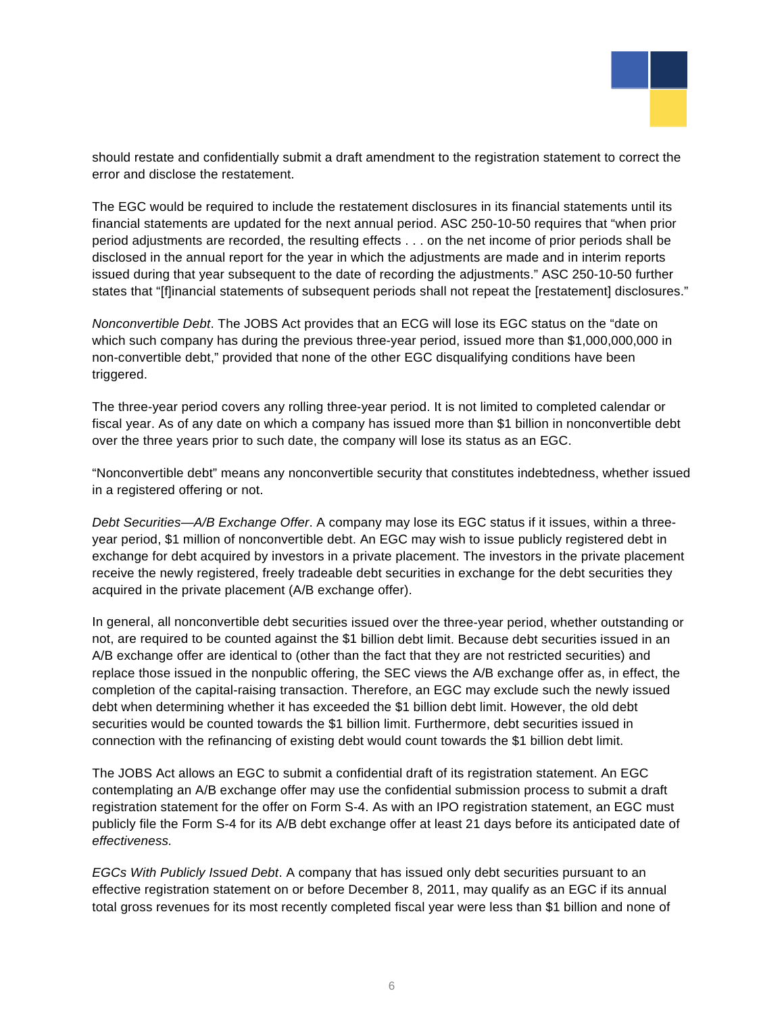

should restate and confidentially submit a draft amendment to the registration statement to correct the error and disclose the restatement.

states that "[f]inancial statements of subsequent periods shall not repeat the [restatement] disclosures." The EGC would be required to include the restatement disclosures in its financial statements until its financial statements are updated for the next annual period. ASC 250-10-50 requires that "when prior period adjustments are recorded, the resulting effects . . . on the net income of prior periods shall be disclosed in the annual report for the year in which the adjustments are made and in interim reports issued during that year subsequent to the date of recording the adjustments." ASC 250-10-50 further

*Nonconvertible Debt*. The JOBS Act provides that an ECG will lose its EGC status on the "date on which such company has during the previous three-year period, issued more than \$1,000,000,000 in non-convertible debt," provided that none of the other EGC disqualifying conditions have been triggered.

The three-year period covers any rolling three-year period. It is not limited to completed calendar or fiscal year. As of any date on which a company has issued more than \$1 billion in nonconvertible debt over the three years prior to such date, the company will lose its status as an EGC.

"Nonconvertible debt" means any nonconvertible security that constitutes indebtedness, whether issued in a registered offering or not.

Debt Securities—A/B Exchange Offer. A company may lose its EGC status if it issues, within a threeyear period, \$1 million of nonconvertible debt. An EGC may wish to issue publicly registered debt in exchange for debt acquired by investors in a private placement. The investors in the private placement receive the newly registered, freely tradeable debt securities in exchange for the debt securities they acquired in the private placement (A/B exchange offer).

In general, all nonconvertible debt securities issued over the three-year period, whether outstanding or not, are required to be counted against the \$1 billion debt limit. Because debt securities issued in an replace those issued in the nonpublic offering, the SEC views the A/B exchange offer as, in effect, the completion of the capital-raising transaction. Therefore, an EGC may exclude such the newly issued debt when determining whether it has exceeded the \$1 billion debt limit. However, the old debt A/B exchange offer are identical to (other than the fact that they are not restricted securities) and securities would be counted towards the \$1 billion limit. Furthermore, debt securities issued in connection with the refinancing of existing debt would count towards the \$1 billion debt limit.

contemplating an A/B exchange offer may use the confidential submission process to submit a draft registration statement for the offer on Form S-4. As with an IPO registration statement, an EGC must publicly file the Form S-4 for its A/B debt exchange offer at least 21 days before its anticipated date of The JOBS Act allows an EGC to submit a confidential draft of its registration statement. An EGC *effectiveness.* 

effective registration statement on or before December 8, 2011, may qualify as an EGC if its annual total gross revenues for its most recently completed fiscal year were less than \$1 billion and none of *EGCs With Publicly Issued Debt*. A company that has issued only debt securities pursuant to an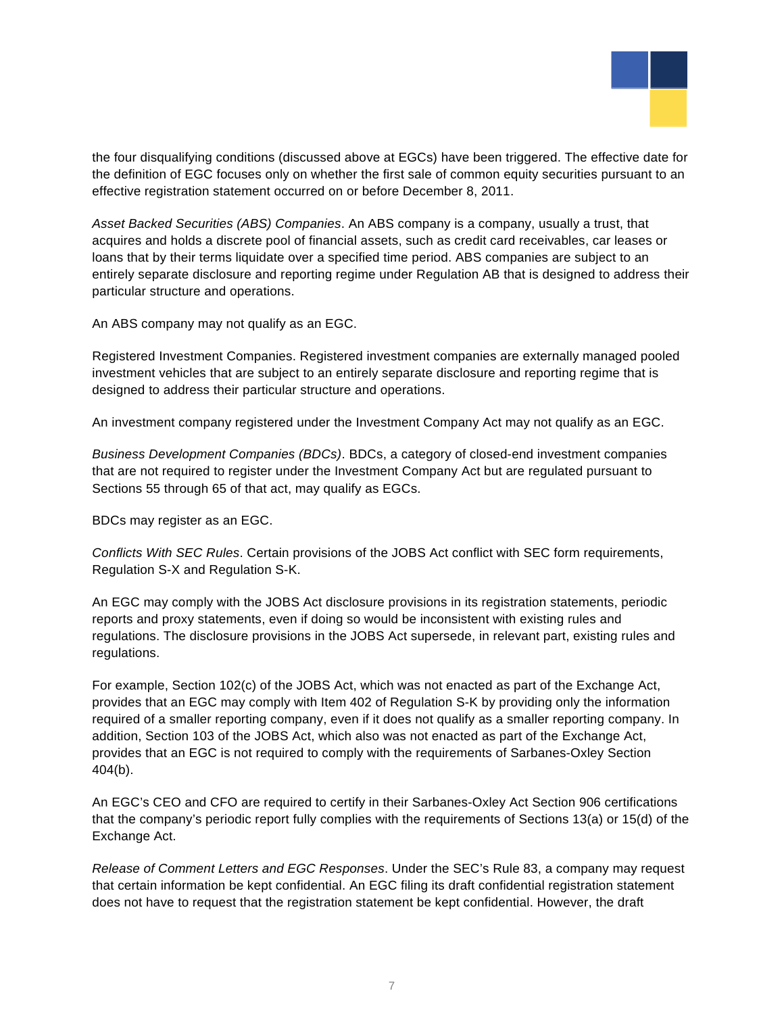

the four disqualifying conditions (discussed above at EGCs) have been triggered. The effective date for the definition o f EGC focuses only on whether the first sale of common equity securities pursuant to an effective registration statement occurred on or before December 8, 2011.

entirely separate disclosure and reporting regime under Regulation AB that is designed to address their particular structure and operations. *Asset Backed Securities (ABS) Companies*. An ABS company is a company, usually a trust, that acquires and holds a discrete pool of financial assets, such as credit card receivables, car leases or loans that by their terms liquidate over a specified time period. ABS companies are subject to an

An ABS company may not qualify as an EGC.

Registered Investment Companies. Registered investment companies are externally managed pooled investment vehicles that are subject to an entirely separate disclosure and reporting regime that is designed to address their particular structure and operations.

An investment company registered under the Investment Company Act may not qualify as an EGC.

**Business Development Companies (BDCs). BDCs, a category of closed-end investment companies** that are not required to register under the Investment Company Act but are regulated pursuant to Sections 55 through 65 of that act, may qualify as EGCs.

BDCs may register as an EGC.

*Conflicts With SEC Rules*. Certain provisions of the JOBS Act conflict with SEC form requirements, Regulation S-X and Regulation S-K.

regulations. The disclosure provisions in the JOBS Act supersede, in relevant part, existing rules and An EGC may comply with the JOBS Act disclosure provisions in its registration statements, periodic reports and proxy statements, even if doing so would be inconsistent with existing rules and regulations.

required of a smaller reporting company, even if it does not qualify as a smaller reporting company. In For example, Section 102(c) of the JOBS Act, which was not enacted as part of the Exchange Act, provides that an EGC may comply with Item 402 of Regulation S-K by providing only the information addition, Section 103 of the JOBS Act, which also was not enacted as part of the Exchange Act, provides that an EGC is not required to comply with the requirements of Sarbanes-Oxley Section 404(b).

An EGC's CEO and CFO are required to certify in their Sarbanes-Oxley Act Section 906 certifications that the company's periodic report fully complies with the requirements of Sections 13(a) or 15(d) of the Exchange Act.

*Release of Comment Letters and EGC Responses*. Under the SEC's Rule 83, a company may request that certain information be kept confidential. An EGC filing its draft confidential registration statement does not have to request that the registration statement be kept confidential. However, the draft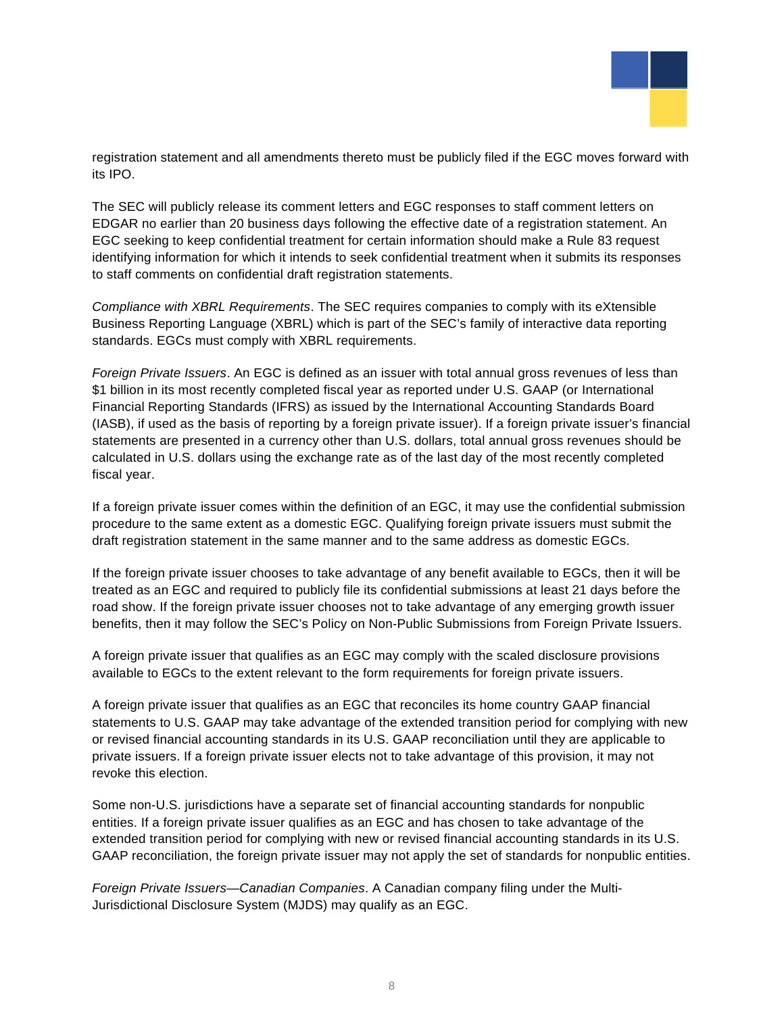

registration statement and all amendments thereto must be publicly filed if the EGC moves forward with its IPO.

The SEC will publicly release its comment letters and EGC responses to staff comment letters on EDGAR no earlier than 20 business days following the effective date of a registration statement. An EGC seeking to keep confidential treatment for certain information should make a Rule 83 request identifying information for which it intends to seek confidential treatment when it submits its responses to staff comments on confidential draft registration statements.

Business Reporting Language (XBRL) which is part of the SEC's family of interactive data reporting *Compliance with XBRL Requirements*. The SEC requires companies to comply with its eXtensible standards. EGCs must comply with XBRL requirements.

Foreign Private Issuers. An EGC is defined as an issuer with total annual gross revenues of less than statements are presented in a currency other than U.S. dollars, total annual gross revenues should be \$1 billion in its most recently completed fiscal year as reported under U.S. GAAP (or International Financial Reporting Standards (IFRS) as issued by the International Accounting Standards Board (IASB), if used as the basis of reporting by a foreign private issuer). If a foreign private issuer's financial calculated in U.S. dollars using the exchange rate as of the last day of the most recently completed fiscal year.

If a foreign private issuer comes within the definition of an EGC, it may use the confidential submission procedure to the same extent as a domestic EGC. Qualifying foreign private issuers must submit the draft registration statement in the same manner and to the same address as domestic EGCs.

If the foreign private issuer chooses to take advantage of any benefit available to EGCs, then it will be treated as an EGC and required to publicly file its confidential submissions at least 21 days before the benefits, then it may follow the SEC's Policy on Non-Public Submissions from Foreign Private Issuers. road show. If the foreign private issuer chooses not to take advantage of any emerging growth issuer

available to EGCs to the extent relevant to the form requirements for foreign private issuers. A foreign private issuer that qualifies as an EGC may comply with the scaled disclosure provisions

A foreign private issuer that qualifies as an EGC that reconciles its home country GAAP financial statements to U.S. GAAP may take advantage of the extended transition period for complying with new or revised financial accounting standards in its U.S. GAAP reconciliation until they are applicable to private issuers. If a foreign private issuer elects not to take advantage of this provision, it may not revoke this election.

Some non-U.S. jurisdictions have a separate set of financial accounting standards for nonpublic entities. If a foreign private issuer qualifies as an EGC and has chosen to take advantage of the extended transition period for complying with new or revised financial accounting standards in its U.S. GAAP reconciliation, the foreign private issuer may not apply the set of standards for nonpublic entities.

*Foreign Private Issuers—Canadian Companies*. A Canadian company filing under the Multi-Jurisdictional Disclosure System (MJDS) may qualify as an EGC.